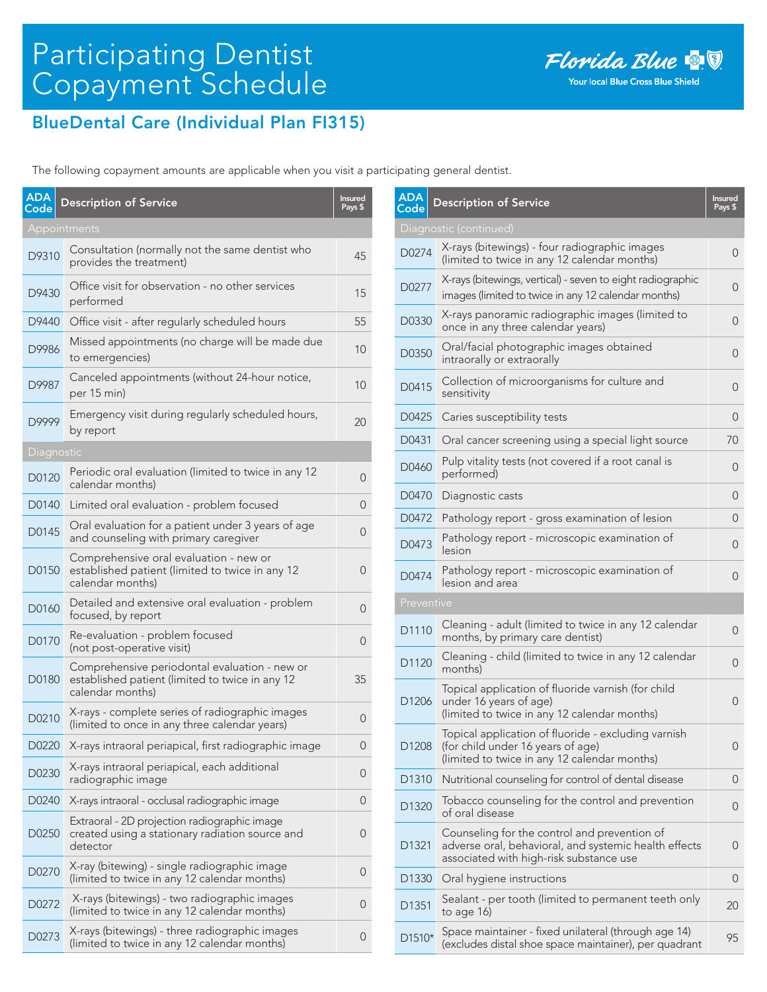

## BlueDental Care (Individual Plan FI315)

The following copayment amounts are applicable when you visit a participating general dentist.

| <b>ADA</b><br>Code | <b>Description of Service</b>                                                                                        | <b>Insured</b><br>Pays \$ |
|--------------------|----------------------------------------------------------------------------------------------------------------------|---------------------------|
|                    | Appointments                                                                                                         |                           |
| D9310              | Consultation (normally not the same dentist who<br>provides the treatment)                                           | 45                        |
| D9430              | Office visit for observation - no other services<br>performed                                                        | 15                        |
| D9440              | Office visit - after regularly scheduled hours                                                                       | 55                        |
| D9986              | Missed appointments (no charge will be made due<br>to emergencies)                                                   | 10                        |
| D9987              | Canceled appointments (without 24-hour notice,<br>per 15 min)                                                        | 10                        |
| D9999              | Emergency visit during regularly scheduled hours,<br>by report                                                       | 20                        |
| Diagnostic         |                                                                                                                      |                           |
| D0120              | Periodic oral evaluation (limited to twice in any 12<br>calendar months)                                             | 0                         |
| D0140              | Limited oral evaluation - problem focused                                                                            | 0                         |
| D0145              | Oral evaluation for a patient under 3 years of age<br>and counseling with primary caregiver                          | 0                         |
| D0150              | Comprehensive oral evaluation - new or<br>established patient (limited to twice in any 12<br>calendar months)        | 0                         |
| D0160              | Detailed and extensive oral evaluation - problem<br>focused, by report                                               | 0                         |
| D0170              | Re-evaluation - problem focused<br>(not post-operative visit)                                                        | 0                         |
| D0180              | Comprehensive periodontal evaluation - new or<br>established patient (limited to twice in any 12<br>calendar months) | 35                        |
| D0210              | X-rays - complete series of radiographic images<br>(limited to once in any three calendar years)                     | 0                         |
| D0220              | X-rays intraoral periapical, first radiographic image                                                                | $\mathbf{0}$              |
| D0230              | X-rays intraoral periapical, each additional<br>radiographic image                                                   | 0                         |
| D0240              | X-rays intraoral - occlusal radiographic image                                                                       | 0                         |
| D0250              | Extraoral - 2D projection radiographic image<br>created using a stationary radiation source and<br>detector          | 0                         |
| D0270              | X-ray (bitewing) - single radiographic image<br>(limited to twice in any 12 calendar months)                         | 0                         |
| D0272              | X-rays (bitewings) - two radiographic images<br>(limited to twice in any 12 calendar months)                         | O                         |
| D0273              | X-rays (bitewings) - three radiographic images<br>(limited to twice in any 12 calendar months)                       | 0                         |

| <b>ADA</b><br>Code | <b>Description of Service</b>                                                                                                                    | <b>Insured</b><br>Pays \$ |
|--------------------|--------------------------------------------------------------------------------------------------------------------------------------------------|---------------------------|
|                    | Diagnostic (continued)                                                                                                                           |                           |
| D0274              | X-rays (bitewings) - four radiographic images<br>(limited to twice in any 12 calendar months)                                                    | 0                         |
| D0277              | X-rays (bitewings, vertical) - seven to eight radiographic<br>images (limited to twice in any 12 calendar months)                                | 0                         |
| D0330              | X-rays panoramic radiographic images (limited to<br>once in any three calendar years)                                                            | 0                         |
| D0350              | Oral/facial photographic images obtained<br>intraorally or extraorally                                                                           | 0                         |
| D0415              | Collection of microorganisms for culture and<br>sensitivity                                                                                      | 0                         |
| D0425              | Caries susceptibility tests                                                                                                                      | 0                         |
| D0431              | Oral cancer screening using a special light source                                                                                               | 70                        |
| D0460              | Pulp vitality tests (not covered if a root canal is<br>performed)                                                                                | 0                         |
| D0470              | Diagnostic casts                                                                                                                                 | 0                         |
| D0472              | Pathology report - gross examination of lesion                                                                                                   | 0                         |
| D0473              | Pathology report - microscopic examination of<br>lesion                                                                                          | 0                         |
| D0474              | Pathology report - microscopic examination of<br>lesion and area                                                                                 | 0                         |
| Preventive         |                                                                                                                                                  |                           |
| D1110              | Cleaning - adult (limited to twice in any 12 calendar<br>months, by primary care dentist)                                                        | 0                         |
| D1120              | Cleaning - child (limited to twice in any 12 calendar<br>months)                                                                                 | 0                         |
| D1206              | Topical application of fluoride varnish (for child<br>under 16 years of age)<br>(limited to twice in any 12 calendar months)                     | 0                         |
| D <sub>1208</sub>  | Topical application of fluoride - excluding varnish<br>(for child under 16 years of age)<br>(limited to twice in any 12 calendar months)         | U                         |
| D1310              | Nutritional counseling for control of dental disease                                                                                             | 0                         |
| D1320              | Tobacco counseling for the control and prevention<br>of oral disease                                                                             | 0                         |
| D1321              | Counseling for the control and prevention of<br>adverse oral, behavioral, and systemic health effects<br>associated with high-risk substance use | 0                         |
| D <sub>1330</sub>  | Oral hygiene instructions                                                                                                                        | 0                         |
| D1351              | Sealant - per tooth (limited to permanent teeth only<br>to age 16)                                                                               | 20                        |
| D1510*             | Space maintainer - fixed unilateral (through age 14)<br>(excludes distal shoe space maintainer), per quadrant                                    | 95                        |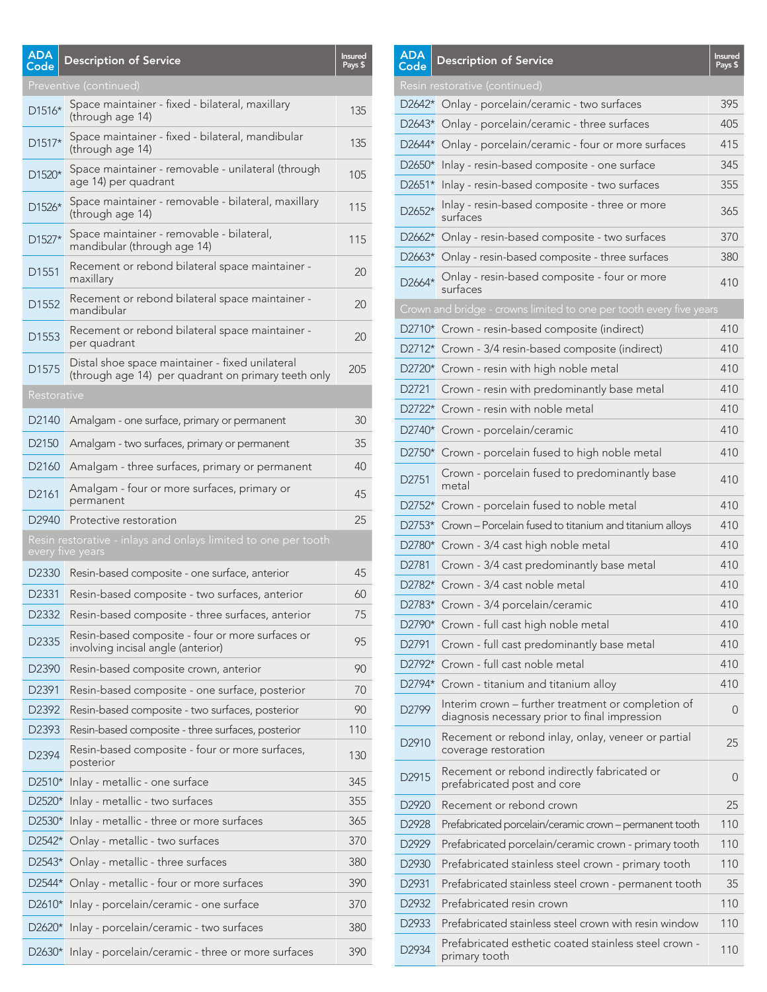| <b>ADA</b><br>Code | <b>Description of Service</b>                                                                          | <b>Insured</b><br>Pays \$ |
|--------------------|--------------------------------------------------------------------------------------------------------|---------------------------|
|                    | Preventive (continued)                                                                                 |                           |
| D1516*             | Space maintainer - fixed - bilateral, maxillary<br>(through age 14)                                    | 135                       |
| D1517*             | Space maintainer - fixed - bilateral, mandibular<br>(through age 14)                                   | 135                       |
| D1520*             | Space maintainer - removable - unilateral (through<br>age 14) per quadrant                             | 105                       |
| D1526*             | Space maintainer - removable - bilateral, maxillary<br>(through age 14)                                | 115                       |
| $D1527*$           | Space maintainer - removable - bilateral,<br>mandibular (through age 14)                               | 115                       |
| D <sub>1551</sub>  | Recement or rebond bilateral space maintainer -<br>maxillary                                           | 20                        |
| D <sub>1552</sub>  | Recement or rebond bilateral space maintainer -<br>mandibular                                          | 20                        |
| D <sub>1553</sub>  | Recement or rebond bilateral space maintainer -<br>per quadrant                                        | 20                        |
| D <sub>1575</sub>  | Distal shoe space maintainer - fixed unilateral<br>(through age 14) per quadrant on primary teeth only | 205                       |
| Restorative        |                                                                                                        |                           |
| D <sub>2140</sub>  | Amalgam - one surface, primary or permanent                                                            | 30                        |
| D <sub>2150</sub>  | Amalgam - two surfaces, primary or permanent                                                           | 35                        |
| D <sub>2160</sub>  | Amalgam - three surfaces, primary or permanent                                                         | 40                        |
| D2161              | Amalgam - four or more surfaces, primary or<br>permanent                                               | 45                        |
| D <sub>2940</sub>  | Protective restoration                                                                                 | 25                        |
|                    | Resin restorative - inlays and onlays limited to one per tooth<br>every five years                     |                           |
| D <sub>2330</sub>  | Resin-based composite - one surface, anterior                                                          | 45                        |
| D2331              | Resin-based composite - two surfaces, anterior                                                         | 60                        |
| D2332              | Resin-based composite - three surfaces, anterior                                                       | 75                        |
| D2335              | Resin-based composite - four or more surfaces or<br>involving incisal angle (anterior)                 | 95                        |
| D <sub>2390</sub>  | Resin-based composite crown, anterior                                                                  | 90                        |
| D <sub>2391</sub>  | Resin-based composite - one surface, posterior                                                         | 70                        |
| D2392              | Resin-based composite - two surfaces, posterior                                                        | 90                        |
| D2393              | Resin-based composite - three surfaces, posterior                                                      | 110                       |
| D2394              | Resin-based composite - four or more surfaces,<br>posterior                                            | 130                       |
| D2510*             | Inlay - metallic - one surface                                                                         | 345                       |
| D2520*             | Inlay - metallic - two surfaces                                                                        | 355                       |
| D2530*             | Inlay - metallic - three or more surfaces                                                              | 365                       |
| D2542*             | Onlay - metallic - two surfaces                                                                        | 370                       |
| D2543*             | Onlay - metallic - three surfaces                                                                      | 380                       |
| D2544*             | Onlay - metallic - four or more surfaces                                                               | 390                       |
|                    | D2610* Inlay - porcelain/ceramic - one surface                                                         | 370                       |
| D2620*             | Inlay - porcelain/ceramic - two surfaces                                                               | 380                       |
|                    | D2630* Inlay - porcelain/ceramic - three or more surfaces                                              | 390                       |

| <b>ADA</b><br>Code | <b>Description of Service</b>                                                                       | Insured<br>Pays \$ |
|--------------------|-----------------------------------------------------------------------------------------------------|--------------------|
|                    | Resin restorative (continued)                                                                       |                    |
|                    | D2642* Onlay - porcelain/ceramic - two surfaces                                                     | 395                |
| D2643*             | Onlay - porcelain/ceramic - three surfaces                                                          | 405                |
| D2644*             | Onlay - porcelain/ceramic - four or more surfaces                                                   | 415                |
|                    | D2650* Inlay - resin-based composite - one surface                                                  | 345                |
| D2651*             | Inlay - resin-based composite - two surfaces                                                        | 355                |
| D2652*             | Inlay - resin-based composite - three or more<br>surfaces                                           | 365                |
|                    | D2662* Onlay - resin-based composite - two surfaces                                                 | 370                |
| D2663*             | Onlay - resin-based composite - three surfaces                                                      | 380                |
| D2664*             | Onlay - resin-based composite - four or more<br>surfaces                                            | 410                |
|                    | Crown and bridge - crowns limited to one per tooth every five years                                 |                    |
|                    | D2710* Crown - resin-based composite (indirect)                                                     | 410                |
| D2712*             | Crown - 3/4 resin-based composite (indirect)                                                        | 410                |
|                    | D2720* Crown - resin with high noble metal                                                          | 410                |
| D2721              | Crown - resin with predominantly base metal                                                         | 410                |
|                    | D2722* Crown - resin with noble metal                                                               | 410                |
|                    | D2740* Crown - porcelain/ceramic                                                                    | 410                |
| D2750*             | Crown - porcelain fused to high noble metal                                                         | 410                |
| D2751              | Crown - porcelain fused to predominantly base<br>metal                                              | 410                |
| D2752*             | Crown - porcelain fused to noble metal                                                              | 410                |
| D2753*             | Crown - Porcelain fused to titanium and titanium alloys                                             | 410                |
| D2780*             | Crown - 3/4 cast high noble metal                                                                   | 410                |
| D2781              | Crown - 3/4 cast predominantly base metal                                                           | 410                |
| D2782*             | Crown - 3/4 cast noble metal                                                                        | 410                |
|                    | D2783* Crown - 3/4 porcelain/ceramic                                                                | 410                |
| D2790*             | Crown - full cast high noble metal                                                                  | 410                |
| D2791              | Crown - full cast predominantly base metal                                                          | 410                |
| D2792*             | Crown - full cast noble metal                                                                       | 410                |
| D2794*             | Crown - titanium and titanium alloy                                                                 | 410                |
| D2799              | Interim crown – further treatment or completion of<br>diagnosis necessary prior to final impression | 0                  |
| D2910              | Recement or rebond inlay, onlay, veneer or partial<br>coverage restoration                          | 25                 |
| D <sub>2915</sub>  | Recement or rebond indirectly fabricated or<br>prefabricated post and core                          | 0                  |
| D <sub>2920</sub>  | Recement or rebond crown                                                                            | 25                 |
| D2928              | Prefabricated porcelain/ceramic crown - permanent tooth                                             | 110                |
| D2929              | Prefabricated porcelain/ceramic crown - primary tooth                                               | 110                |
| D <sub>2930</sub>  | Prefabricated stainless steel crown - primary tooth                                                 | 110                |
| D <sub>2931</sub>  | Prefabricated stainless steel crown - permanent tooth                                               | 35                 |
| D <sub>2932</sub>  | Prefabricated resin crown                                                                           | 110                |
| D2933              | Prefabricated stainless steel crown with resin window                                               | 110                |
| D2934              | Prefabricated esthetic coated stainless steel crown -<br>primary tooth                              | 110                |

<u>s provincia de la contrada de la contrada de la contrada de la contrada de la contrada de la contrada de la c</u>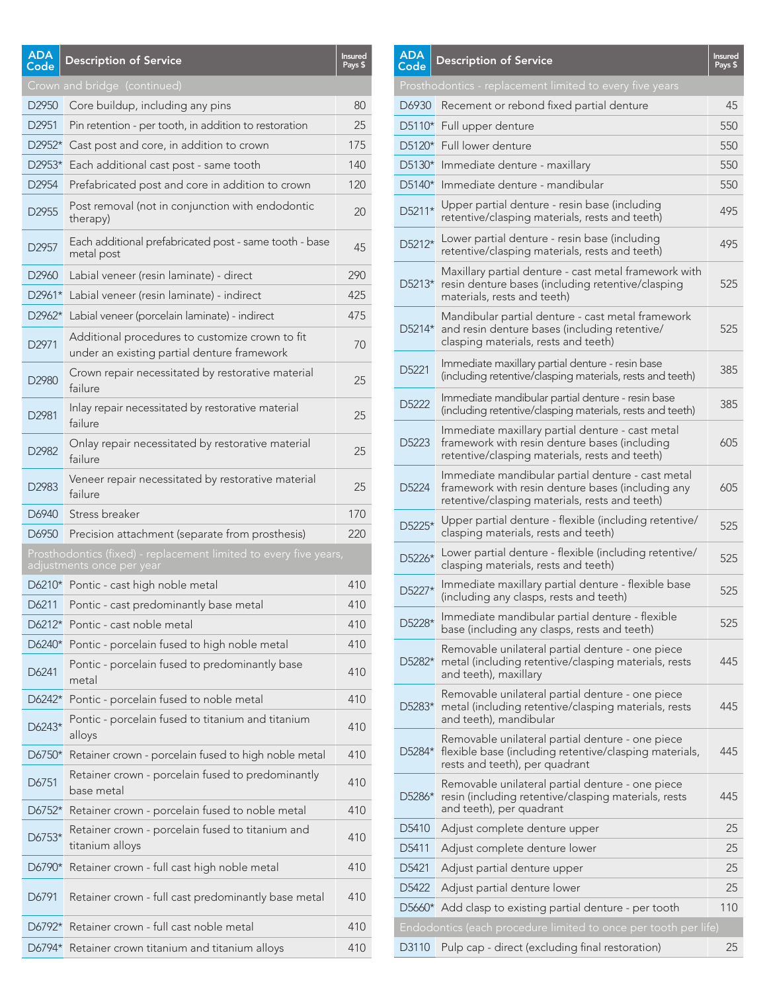| <b>ADA</b><br>Code | <b>Description of Service</b>                                                                  | Insured<br>Pays \$ |
|--------------------|------------------------------------------------------------------------------------------------|--------------------|
|                    | Crown and bridge (continued)                                                                   |                    |
| D2950              | Core buildup, including any pins                                                               | 80                 |
| D <sub>2951</sub>  | Pin retention - per tooth, in addition to restoration                                          | 25                 |
| D2952*             | Cast post and core, in addition to crown                                                       | 175                |
| D2953*             | Each additional cast post - same tooth                                                         | 140                |
| D <sub>2954</sub>  | Prefabricated post and core in addition to crown                                               | 120                |
| D2955              | Post removal (not in conjunction with endodontic<br>therapy)                                   | 20                 |
| D <sub>2957</sub>  | Each additional prefabricated post - same tooth - base<br>metal post                           | 45                 |
| D <sub>2960</sub>  | Labial veneer (resin laminate) - direct                                                        | 290                |
| D2961*             | Labial veneer (resin laminate) - indirect                                                      | 425                |
| D2962*             | Labial veneer (porcelain laminate) - indirect                                                  | 475                |
| D <sub>2971</sub>  | Additional procedures to customize crown to fit<br>under an existing partial denture framework | 70                 |
| D2980              | Crown repair necessitated by restorative material<br>failure                                   | 25                 |
| D2981              | Inlay repair necessitated by restorative material<br>failure                                   | 25                 |
| D2982              | Onlay repair necessitated by restorative material<br>failure                                   | 25                 |
| D2983              | Veneer repair necessitated by restorative material<br>failure                                  | 25                 |
| D6940              | Stress breaker                                                                                 | 170                |
| D6950              | Precision attachment (separate from prosthesis)                                                | 220                |
|                    | Prosthodontics (fixed) - replacement limited to every five years,<br>adjustments once per year |                    |
|                    | D6210* Pontic - cast high noble metal                                                          | 410                |
| D6211              | Pontic - cast predominantly base metal                                                         | 410                |
| D6212*             | Pontic - cast noble metal                                                                      | 410                |
| D6240*             | Pontic - porcelain fused to high noble metal                                                   | 410                |
| D6241              | Pontic - porcelain fused to predominantly base<br>metal                                        | 410                |
| D6242*             | Pontic - porcelain fused to noble metal                                                        | 410                |
| D6243*             | Pontic - porcelain fused to titanium and titanium<br>alloys                                    | 410                |
| D6750*             | Retainer crown - porcelain fused to high noble metal                                           | 410                |
| D6751              | Retainer crown - porcelain fused to predominantly<br>base metal                                | 410                |
| D6752*             | Retainer crown - porcelain fused to noble metal                                                | 410                |
| D6753*             | Retainer crown - porcelain fused to titanium and<br>titanium alloys                            | 410                |
| D6790*             | Retainer crown - full cast high noble metal                                                    | 410                |
| D6791              | Retainer crown - full cast predominantly base metal                                            | 410                |
| D6792*             | Retainer crown - full cast noble metal                                                         | 410                |
| D6794*             | Retainer crown titanium and titanium alloys                                                    | 410                |

| ADA<br>Code       | <b>Description of Service</b>                                                                                                                            | <b>Insured</b><br>Pays \$ |
|-------------------|----------------------------------------------------------------------------------------------------------------------------------------------------------|---------------------------|
|                   | Prosthodontics - replacement limited to every five years                                                                                                 |                           |
| D6930             | Recement or rebond fixed partial denture                                                                                                                 | 45                        |
| D5110*            | Full upper denture                                                                                                                                       | 550                       |
| D5120*            | Full lower denture                                                                                                                                       | 550                       |
| D5130*            | Immediate denture - maxillary                                                                                                                            | 550                       |
| D5140*            | Immediate denture - mandibular                                                                                                                           | 550                       |
| D5211*            | Upper partial denture - resin base (including<br>retentive/clasping materials, rests and teeth)                                                          | 495                       |
| D5212*            | Lower partial denture - resin base (including<br>retentive/clasping materials, rests and teeth)                                                          | 495                       |
| D5213*            | Maxillary partial denture - cast metal framework with<br>resin denture bases (including retentive/clasping<br>materials, rests and teeth)                | 525                       |
| D5214*            | Mandibular partial denture - cast metal framework<br>and resin denture bases (including retentive/<br>clasping materials, rests and teeth)               | 525                       |
| D5221             | Immediate maxillary partial denture - resin base<br>(including retentive/clasping materials, rests and teeth)                                            | 385                       |
| D5222             | Immediate mandibular partial denture - resin base<br>(including retentive/clasping materials, rests and teeth)                                           | 385                       |
| D5223             | Immediate maxillary partial denture - cast metal<br>framework with resin denture bases (including<br>retentive/clasping materials, rests and teeth)      | 605                       |
| D5224             | Immediate mandibular partial denture - cast metal<br>framework with resin denture bases (including any<br>retentive/clasping materials, rests and teeth) | 605                       |
| D5225*            | Upper partial denture - flexible (including retentive/<br>clasping materials, rests and teeth)                                                           | 525                       |
| D5226*            | Lower partial denture - flexible (including retentive/<br>clasping materials, rests and teeth)                                                           | 525                       |
| D5227*            | Immediate maxillary partial denture - flexible base<br>(including any clasps, rests and teeth)                                                           | 525                       |
| D5228*            | Immediate mandibular partial denture - flexible<br>base (including any clasps, rests and teeth)                                                          | 525                       |
| D5282*            | Removable unilateral partial denture - one piece<br>metal (including retentive/clasping materials, rests<br>and teeth), maxillary                        | 445                       |
| D5283*            | Removable unilateral partial denture - one piece<br>metal (including retentive/clasping materials, rests<br>and teeth), mandibular                       | 445                       |
| D5284*            | Removable unilateral partial denture - one piece<br>flexible base (including retentive/clasping materials,<br>rests and teeth), per quadrant             | 445                       |
| D5286*            | Removable unilateral partial denture - one piece<br>resin (including retentive/clasping materials, rests<br>and teeth), per quadrant                     | 445                       |
| D5410             | Adjust complete denture upper                                                                                                                            | 25                        |
| D5411             | Adjust complete denture lower                                                                                                                            | 25                        |
| D5421             | Adjust partial denture upper                                                                                                                             | 25                        |
| D <sub>5422</sub> | Adjust partial denture lower                                                                                                                             | 25                        |
| D5660*            | Add clasp to existing partial denture - per tooth                                                                                                        | 110                       |
|                   | Endodontics (each procedure limited to once per tooth per life)                                                                                          |                           |
|                   | D3110 Pulp cap - direct (excluding final restoration)                                                                                                    | 25                        |

 $\overline{A}$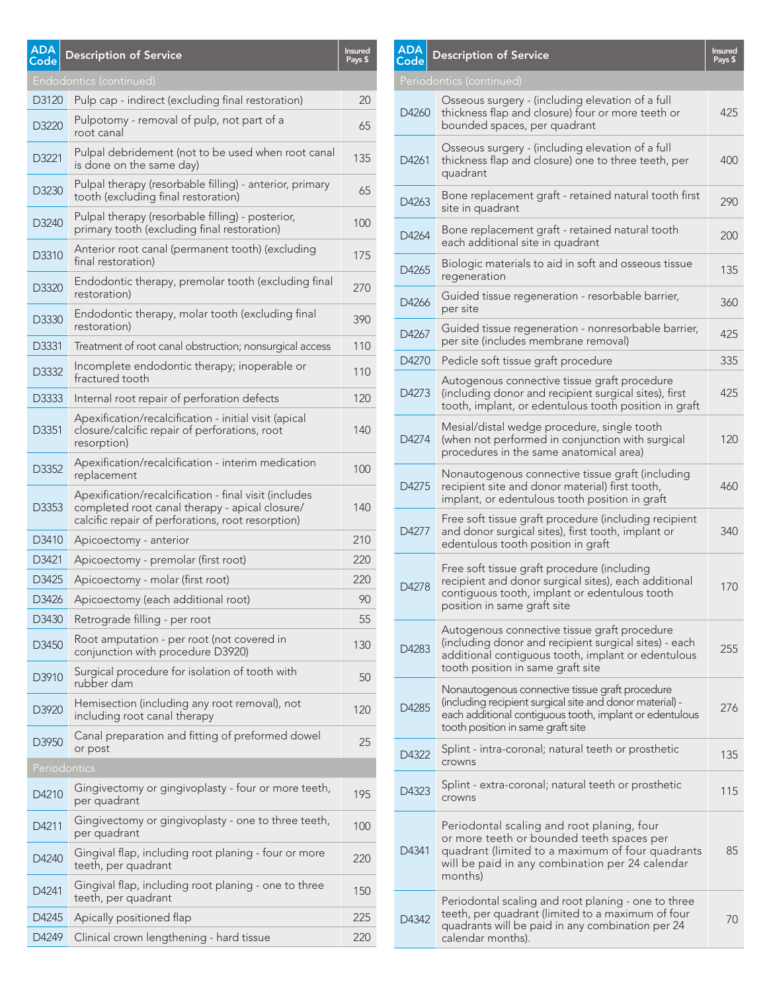| <b>ADA</b><br>Code | <b>Description of Service</b>                                                                                                                                | <b>Insured</b><br>Pays \$ |
|--------------------|--------------------------------------------------------------------------------------------------------------------------------------------------------------|---------------------------|
|                    | Endodontics (continued)                                                                                                                                      |                           |
| D3120              | Pulp cap - indirect (excluding final restoration)                                                                                                            | 20                        |
| D3220              | Pulpotomy - removal of pulp, not part of a<br>root canal                                                                                                     | 65                        |
| D3221              | Pulpal debridement (not to be used when root canal<br>is done on the same day)                                                                               | 135                       |
| D3230              | Pulpal therapy (resorbable filling) - anterior, primary<br>tooth (excluding final restoration)                                                               | 65                        |
| D3240              | Pulpal therapy (resorbable filling) - posterior,<br>primary tooth (excluding final restoration)                                                              | 100                       |
| D3310              | Anterior root canal (permanent tooth) (excluding<br>final restoration)                                                                                       | 175                       |
| D3320              | Endodontic therapy, premolar tooth (excluding final<br>restoration)                                                                                          | 270                       |
| D3330              | Endodontic therapy, molar tooth (excluding final<br>restoration)                                                                                             | 390                       |
| D3331              | Treatment of root canal obstruction; nonsurgical access                                                                                                      | 110                       |
| D3332              | Incomplete endodontic therapy; inoperable or<br>fractured tooth                                                                                              | 110                       |
| D3333              | Internal root repair of perforation defects                                                                                                                  | 120                       |
| D3351              | Apexification/recalcification - initial visit (apical<br>closure/calcific repair of perforations, root<br>resorption)                                        | 140                       |
| D3352              | Apexification/recalcification - interim medication<br>replacement                                                                                            | 100                       |
| D3353              | Apexification/recalcification - final visit (includes<br>completed root canal therapy - apical closure/<br>calcific repair of perforations, root resorption) | 140                       |
| D3410              | Apicoectomy - anterior                                                                                                                                       | 210                       |
| D3421              | Apicoectomy - premolar (first root)                                                                                                                          | 220                       |
| D3425              | Apicoectomy - molar (first root)                                                                                                                             | 220                       |
| D3426              | Apicoectomy (each additional root)                                                                                                                           | 90                        |
| D3430              | Retrograde filling - per root                                                                                                                                | 55                        |
| D3450              | Root amputation - per root (not covered in<br>conjunction with procedure D3920)                                                                              | 130                       |
| D3910              | Surgical procedure for isolation of tooth with<br>rubber dam                                                                                                 | 50                        |
| D3920              | Hemisection (including any root removal), not<br>including root canal therapy                                                                                | 120                       |
| D3950              | Canal preparation and fitting of preformed dowel<br>or post                                                                                                  | 25                        |
|                    | Periodontics                                                                                                                                                 |                           |
| D4210              | Gingivectomy or gingivoplasty - four or more teeth,<br>per quadrant                                                                                          | 195                       |
| D4211              | Gingivectomy or gingivoplasty - one to three teeth,<br>per quadrant                                                                                          | 100                       |
| D4240              | Gingival flap, including root planing - four or more<br>teeth, per quadrant                                                                                  | 220                       |
| D4241              | Gingival flap, including root planing - one to three<br>teeth, per quadrant                                                                                  | 150                       |
| D4245              | Apically positioned flap                                                                                                                                     | 225                       |
| D4249              | Clinical crown lengthening - hard tissue                                                                                                                     | 220                       |

| <b>ADA</b><br>Code | <b>Description of Service</b>                                                                                                                                                                               | <b>Insured</b><br>Pays \$ |
|--------------------|-------------------------------------------------------------------------------------------------------------------------------------------------------------------------------------------------------------|---------------------------|
|                    | Periodontics (continued)                                                                                                                                                                                    |                           |
| D4260              | Osseous surgery - (including elevation of a full<br>thickness flap and closure) four or more teeth or<br>bounded spaces, per quadrant                                                                       | 425                       |
| D4261              | Osseous surgery - (including elevation of a full<br>thickness flap and closure) one to three teeth, per<br>quadrant                                                                                         | 400                       |
| D4263              | Bone replacement graft - retained natural tooth first<br>site in quadrant                                                                                                                                   | 290                       |
| D4264              | Bone replacement graft - retained natural tooth<br>each additional site in quadrant                                                                                                                         | 200                       |
| D4265              | Biologic materials to aid in soft and osseous tissue<br>regeneration                                                                                                                                        | 135                       |
| D4266              | Guided tissue regeneration - resorbable barrier,<br>per site                                                                                                                                                | 360                       |
| D4267              | Guided tissue regeneration - nonresorbable barrier,<br>per site (includes membrane removal)                                                                                                                 | 425                       |
| D4270              | Pedicle soft tissue graft procedure                                                                                                                                                                         | 335                       |
| D4273              | Autogenous connective tissue graft procedure<br>(including donor and recipient surgical sites), first<br>tooth, implant, or edentulous tooth position in graft                                              | 425                       |
| D4274              | Mesial/distal wedge procedure, single tooth<br>(when not performed in conjunction with surgical<br>procedures in the same anatomical area)                                                                  | 120                       |
| D4275              | Nonautogenous connective tissue graft (including<br>recipient site and donor material) first tooth,<br>implant, or edentulous tooth position in graft                                                       | 460                       |
| D4277              | Free soft tissue graft procedure (including recipient<br>and donor surgical sites), first tooth, implant or<br>edentulous tooth position in graft                                                           | 340                       |
| D4278              | Free soft tissue graft procedure (including<br>recipient and donor surgical sites), each additional<br>contiguous tooth, implant or edentulous tooth<br>position in same graft site                         | 170                       |
| D4283              | Autogenous connective tissue graft procedure<br>(including donor and recipient surgical sites) - each<br>additional contiguous tooth, implant or edentulous<br>tooth position in same graft site            | 255                       |
| D4285              | Nonautogenous connective tissue graft procedure<br>(including recipient surgical site and donor material) -<br>each additional contiguous tooth, implant or edentulous<br>tooth position in same graft site | 276                       |
| D4322              | Splint - intra-coronal; natural teeth or prosthetic<br>crowns                                                                                                                                               | 135                       |
| D4323              | Splint - extra-coronal; natural teeth or prosthetic<br>crowns                                                                                                                                               | 115                       |
| D4341              | Periodontal scaling and root planing, four<br>or more teeth or bounded teeth spaces per<br>quadrant (limited to a maximum of four quadrants<br>will be paid in any combination per 24 calendar<br>months)   | 85                        |
| D4342              | Periodontal scaling and root planing - one to three<br>teeth, per quadrant (limited to a maximum of four<br>quadrants will be paid in any combination per 24<br>calendar months).                           | 70                        |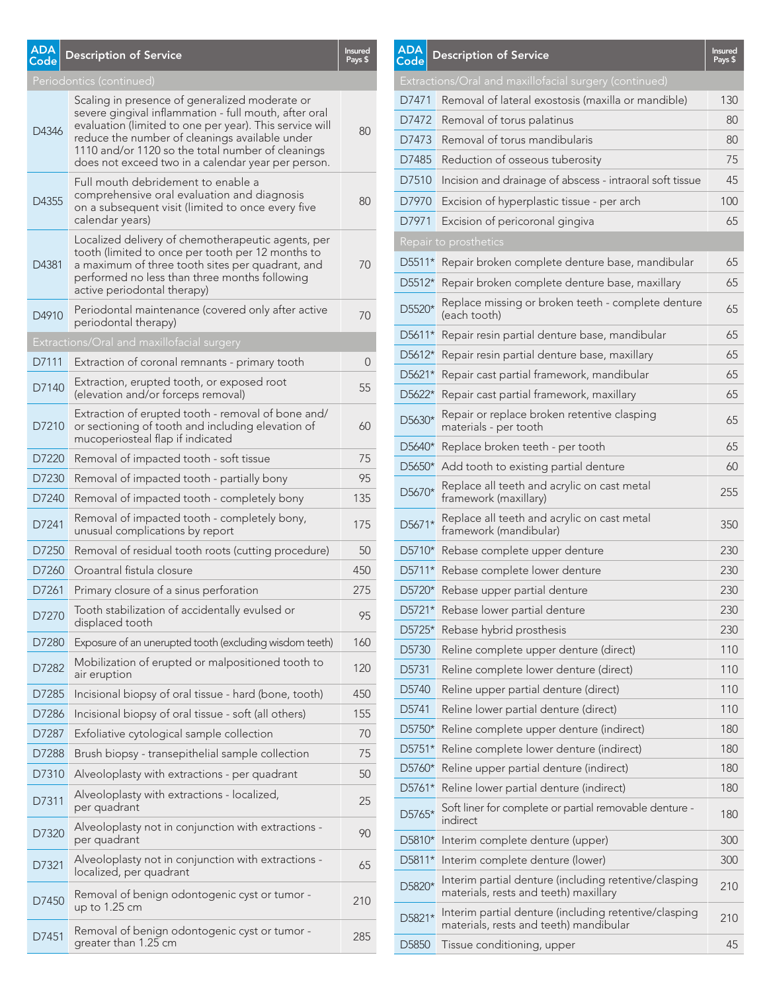| <b>ADA</b><br>Code | <b>Description of Service</b>                                                                                                                                                                                                                                                                                                   | <b>Insured</b><br>Pays \$ |
|--------------------|---------------------------------------------------------------------------------------------------------------------------------------------------------------------------------------------------------------------------------------------------------------------------------------------------------------------------------|---------------------------|
|                    | Periodontics (continued)                                                                                                                                                                                                                                                                                                        |                           |
| D4346              | Scaling in presence of generalized moderate or<br>severe gingival inflammation - full mouth, after oral<br>evaluation (limited to one per year). This service will<br>reduce the number of cleanings available under<br>1110 and/or 1120 so the total number of cleanings<br>does not exceed two in a calendar year per person. | 80                        |
| D4355              | Full mouth debridement to enable a<br>comprehensive oral evaluation and diagnosis<br>on a subsequent visit (limited to once every five<br>calendar years)                                                                                                                                                                       | 80                        |
| D4381              | Localized delivery of chemotherapeutic agents, per<br>tooth (limited to once per tooth per 12 months to<br>a maximum of three tooth sites per quadrant, and<br>performed no less than three months following<br>active periodontal therapy)                                                                                     | 70                        |
| D4910              | Periodontal maintenance (covered only after active<br>periodontal therapy)                                                                                                                                                                                                                                                      | 70                        |
|                    | Extractions/Oral and maxillofacial surgery                                                                                                                                                                                                                                                                                      |                           |
| D7111              | Extraction of coronal remnants - primary tooth                                                                                                                                                                                                                                                                                  | 0                         |
| D7140              | Extraction, erupted tooth, or exposed root<br>(elevation and/or forceps removal)                                                                                                                                                                                                                                                | 55                        |
| D7210              | Extraction of erupted tooth - removal of bone and/<br>or sectioning of tooth and including elevation of<br>mucoperiosteal flap if indicated                                                                                                                                                                                     | 60                        |
| D7220              | Removal of impacted tooth - soft tissue                                                                                                                                                                                                                                                                                         | 75                        |
| D7230              | Removal of impacted tooth - partially bony                                                                                                                                                                                                                                                                                      | 95                        |
| D7240              | Removal of impacted tooth - completely bony                                                                                                                                                                                                                                                                                     | 135                       |
| D7241              | Removal of impacted tooth - completely bony,<br>unusual complications by report                                                                                                                                                                                                                                                 | 175                       |
| D7250              | Removal of residual tooth roots (cutting procedure)                                                                                                                                                                                                                                                                             | 50                        |
| D7260              | Oroantral fistula closure                                                                                                                                                                                                                                                                                                       | 450                       |
| D7261              | Primary closure of a sinus perforation                                                                                                                                                                                                                                                                                          | 275                       |
| D7270              | Tooth stabilization of accidentally evulsed or<br>displaced tooth                                                                                                                                                                                                                                                               | 95                        |
| D7280              | Exposure of an unerupted tooth (excluding wisdom teeth)                                                                                                                                                                                                                                                                         | 160                       |
| D7282              | Mobilization of erupted or malpositioned tooth to<br>air eruption                                                                                                                                                                                                                                                               | 120                       |
| D7285              | Incisional biopsy of oral tissue - hard (bone, tooth)                                                                                                                                                                                                                                                                           | 450                       |
| D7286              | Incisional biopsy of oral tissue - soft (all others)                                                                                                                                                                                                                                                                            | 155                       |
| D7287              | Exfoliative cytological sample collection                                                                                                                                                                                                                                                                                       | 70                        |
| D7288              | Brush biopsy - transepithelial sample collection                                                                                                                                                                                                                                                                                | 75                        |
| D7310              | Alveoloplasty with extractions - per quadrant                                                                                                                                                                                                                                                                                   | 50                        |
| D7311              | Alveoloplasty with extractions - localized,<br>per quadrant                                                                                                                                                                                                                                                                     | 25                        |
| D7320              | Alveoloplasty not in conjunction with extractions -<br>per quadrant                                                                                                                                                                                                                                                             | 90                        |
| D7321              | Alveoloplasty not in conjunction with extractions -<br>localized, per quadrant                                                                                                                                                                                                                                                  | 65                        |
| D7450              | Removal of benign odontogenic cyst or tumor -<br>up to $1.25$ cm                                                                                                                                                                                                                                                                | 210                       |
| D7451              | Removal of benign odontogenic cyst or tumor -<br>greater than 1.25 cm                                                                                                                                                                                                                                                           | 285                       |

| <b>ADA</b><br>Code             | <b>Description of Service</b>                                                                   | <b>Insured</b><br>Pays \$ |
|--------------------------------|-------------------------------------------------------------------------------------------------|---------------------------|
|                                | Extractions/Oral and maxillofacial surgery (continued)                                          |                           |
| D7471                          | Removal of lateral exostosis (maxilla or mandible)                                              | 130                       |
| D7472                          | Removal of torus palatinus                                                                      | 80                        |
| D7473                          | Removal of torus mandibularis                                                                   | 80                        |
| D7485                          | Reduction of osseous tuberosity                                                                 | 75                        |
| D7510                          | Incision and drainage of abscess - intraoral soft tissue                                        | 45                        |
| D7970                          | Excision of hyperplastic tissue - per arch                                                      | 100                       |
| D7971                          | Excision of pericoronal gingiva                                                                 | 65                        |
|                                | Repair to prosthetics                                                                           |                           |
| D5511*                         | Repair broken complete denture base, mandibular                                                 | 65                        |
| D5512*                         | Repair broken complete denture base, maxillary                                                  | 65                        |
| D5520*                         | Replace missing or broken teeth - complete denture<br>(each tooth)                              | 65                        |
| D5611*                         | Repair resin partial denture base, mandibular                                                   | 65                        |
| D5612*                         | Repair resin partial denture base, maxillary                                                    | 65                        |
| D5621*                         | Repair cast partial framework, mandibular                                                       | 65                        |
| D5622*                         | Repair cast partial framework, maxillary                                                        | 65                        |
| D5630*                         | Repair or replace broken retentive clasping<br>materials - per tooth                            | 65                        |
| D <sub>5640</sub> <sup>*</sup> | Replace broken teeth - per tooth                                                                | 65                        |
| D5650*                         | Add tooth to existing partial denture                                                           | 60                        |
| D5670*                         | Replace all teeth and acrylic on cast metal<br>framework (maxillary)                            | 255                       |
| D5671*                         | Replace all teeth and acrylic on cast metal<br>framework (mandibular)                           | 350                       |
| D5710*                         | Rebase complete upper denture                                                                   | 230                       |
| D5711*                         | Rebase complete lower denture                                                                   | 230                       |
| D5720*                         | Rebase upper partial denture                                                                    | 230                       |
| D5721*                         | Rebase lower partial denture                                                                    | 230                       |
| D5725*                         | Rebase hybrid prosthesis                                                                        | 230                       |
| D5730                          | Reline complete upper denture (direct)                                                          | 110                       |
| D5731                          | Reline complete lower denture (direct)                                                          | 110                       |
| D5740                          | Reline upper partial denture (direct)                                                           | 110                       |
| D5741                          | Reline lower partial denture (direct)                                                           | 110                       |
| D5750*                         | Reline complete upper denture (indirect)                                                        | 180                       |
| D5751*                         | Reline complete lower denture (indirect)                                                        | 180                       |
| D5760*                         | Reline upper partial denture (indirect)                                                         | 180                       |
| D5761*                         | Reline lower partial denture (indirect)                                                         | 180                       |
| D5765*                         | Soft liner for complete or partial removable denture -<br>indirect                              | 180                       |
| D5810*                         | Interim complete denture (upper)                                                                | 300                       |
| D5811*                         | Interim complete denture (lower)                                                                | 300                       |
| D5820*                         | Interim partial denture (including retentive/clasping<br>materials, rests and teeth) maxillary  | 210                       |
| D5821*                         | Interim partial denture (including retentive/clasping<br>materials, rests and teeth) mandibular | 210                       |
| D5850                          | Tissue conditioning, upper                                                                      | 45                        |